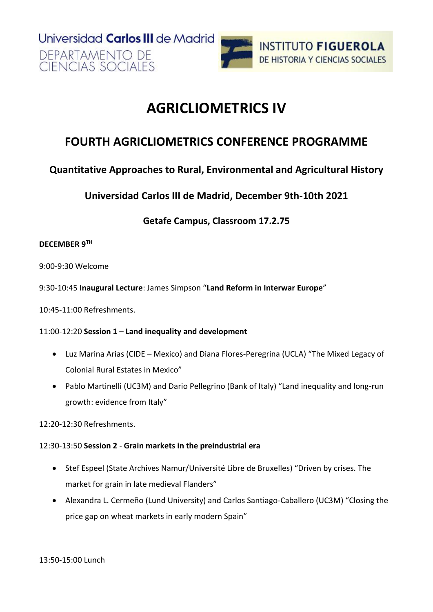Universidad Carlos III de Madrid DEPARTAMENTO DE **CIENCIAS SOCIALES** 



## **AGRICLIOMETRICS IV**

## **FOURTH AGRICLIOMETRICS CONFERENCE PROGRAMME**

### **Quantitative Approaches to Rural, Environmental and Agricultural History**

**Universidad Carlos III de Madrid, December 9th-10th 2021**

**Getafe Campus, Classroom 17.2.75**

#### **DECEMBER 9TH**

9:00-9:30 Welcome

9:30-10:45 **Inaugural Lecture**: James Simpson "**Land Reform in Interwar Europe**"

10:45-11:00 Refreshments.

#### 11:00-12:20 **Session 1** – **Land inequality and development**

- Luz Marina Arias (CIDE Mexico) and Diana Flores-Peregrina (UCLA) "The Mixed Legacy of Colonial Rural Estates in Mexico"
- Pablo Martinelli (UC3M) and Dario Pellegrino (Bank of Italy) "Land inequality and long-run growth: evidence from Italy"

12:20-12:30 Refreshments.

#### 12:30-13:50 **Session 2** - **Grain markets in the preindustrial era**

- Stef Espeel (State Archives Namur/Université Libre de Bruxelles) "Driven by crises. The market for grain in late medieval Flanders"
- Alexandra L. Cermeño (Lund University) and Carlos Santiago-Caballero (UC3M) "Closing the price gap on wheat markets in early modern Spain"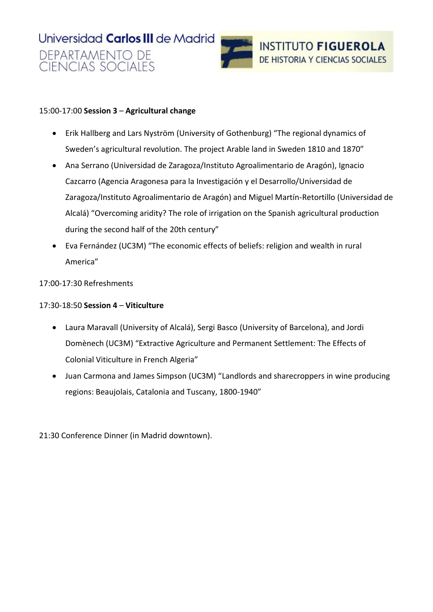



#### 15:00-17:00 **Session 3** – **Agricultural change**

- Erik Hallberg and Lars Nyström (University of Gothenburg) "The regional dynamics of Sweden's agricultural revolution. The project Arable land in Sweden 1810 and 1870"
- Ana Serrano (Universidad de Zaragoza/Instituto Agroalimentario de Aragón), Ignacio Cazcarro (Agencia Aragonesa para la Investigación y el Desarrollo/Universidad de Zaragoza/Instituto Agroalimentario de Aragón) and Miguel Martín-Retortillo (Universidad de Alcalá) "Overcoming aridity? The role of irrigation on the Spanish agricultural production during the second half of the 20th century"
- Eva Fernández (UC3M) "The economic effects of beliefs: religion and wealth in rural America"
- 17:00-17:30 Refreshments

17:30-18:50 **Session 4** – **Viticulture**

- Laura Maravall (University of Alcalá), Sergi Basco (University of Barcelona), and Jordi Domènech (UC3M) "Extractive Agriculture and Permanent Settlement: The Effects of Colonial Viticulture in French Algeria"
- Juan Carmona and James Simpson (UC3M) "Landlords and sharecroppers in wine producing regions: Beaujolais, Catalonia and Tuscany, 1800-1940"

21:30 Conference Dinner (in Madrid downtown).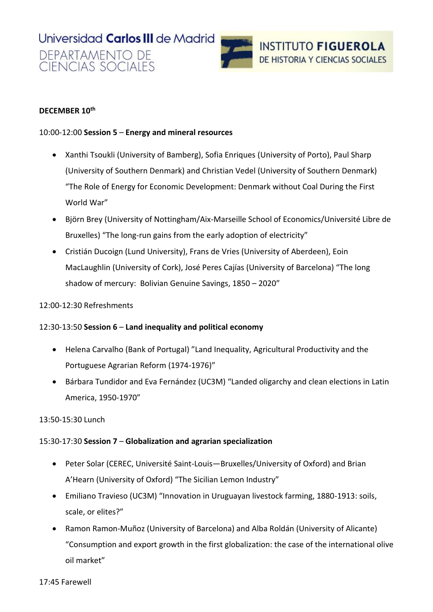# Universidad Carlos III de Madrid DEPARTAMENTO DE<br>CIENCIAS SOCIALES



#### **DECEMBER 10th**

#### 10:00-12:00 **Session 5** – **Energy and mineral resources**

- Xanthi Tsoukli (University of Bamberg), Sofia Enriques (University of Porto), Paul Sharp (University of Southern Denmark) and Christian Vedel (University of Southern Denmark) "The Role of Energy for Economic Development: Denmark without Coal During the First World War"
- Björn Brey (University of Nottingham/Aix-Marseille School of Economics/Université Libre de Bruxelles) "The long-run gains from the early adoption of electricity"
- Cristián Ducoign (Lund University), Frans de Vries (University of Aberdeen), Eoin MacLaughlin (University of Cork), José Peres Cajías (University of Barcelona) "The long shadow of mercury: Bolivian Genuine Savings, 1850 – 2020"

#### 12:00-12:30 Refreshments

#### 12:30-13:50 **Session 6** – **Land inequality and political economy**

- Helena Carvalho (Bank of Portugal) "Land Inequality, Agricultural Productivity and the Portuguese Agrarian Reform (1974-1976)"
- Bárbara Tundidor and Eva Fernández (UC3M) "Landed oligarchy and clean elections in Latin America, 1950-1970"

#### 13:50-15:30 Lunch

#### 15:30-17:30 **Session 7** – **Globalization and agrarian specialization**

- Peter Solar (CEREC, Université Saint-Louis—Bruxelles/University of Oxford) and Brian A'Hearn (University of Oxford) "The Sicilian Lemon Industry"
- Emiliano Travieso (UC3M) "Innovation in Uruguayan livestock farming, 1880-1913: soils, scale, or elites?"
- Ramon Ramon-Muñoz (University of Barcelona) and Alba Roldán (University of Alicante) "Consumption and export growth in the first globalization: the case of the international olive oil market"